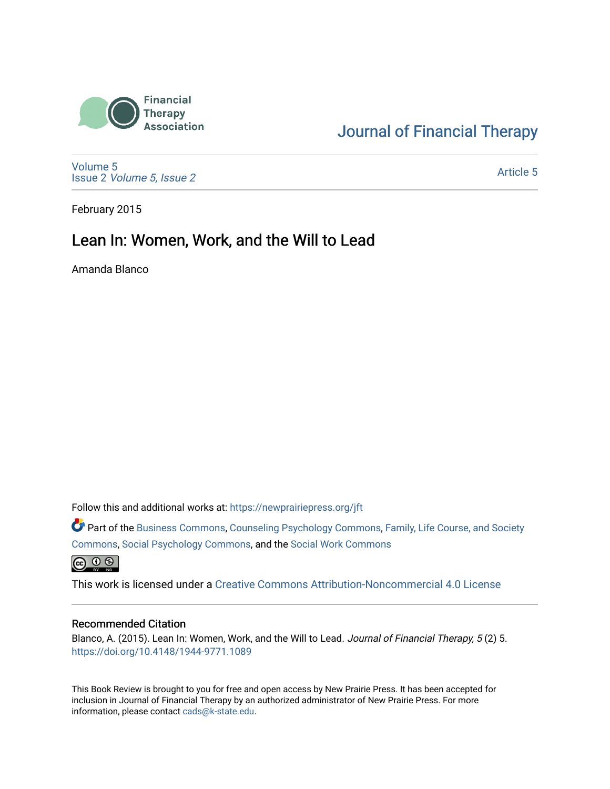

### [Journal of Financial Therapy](https://newprairiepress.org/jft)

[Volume 5](https://newprairiepress.org/jft/vol5) Issue 2 [Volume 5, Issue 2](https://newprairiepress.org/jft/vol5/iss2) 

[Article 5](https://newprairiepress.org/jft/vol5/iss2/5) 

February 2015

### Lean In: Women, Work, and the Will to Lead

Amanda Blanco

Follow this and additional works at: [https://newprairiepress.org/jft](https://newprairiepress.org/jft?utm_source=newprairiepress.org%2Fjft%2Fvol5%2Fiss2%2F5&utm_medium=PDF&utm_campaign=PDFCoverPages)

Part of the [Business Commons](http://network.bepress.com/hgg/discipline/622?utm_source=newprairiepress.org%2Fjft%2Fvol5%2Fiss2%2F5&utm_medium=PDF&utm_campaign=PDFCoverPages), [Counseling Psychology Commons,](http://network.bepress.com/hgg/discipline/1044?utm_source=newprairiepress.org%2Fjft%2Fvol5%2Fiss2%2F5&utm_medium=PDF&utm_campaign=PDFCoverPages) [Family, Life Course, and Society](http://network.bepress.com/hgg/discipline/419?utm_source=newprairiepress.org%2Fjft%2Fvol5%2Fiss2%2F5&utm_medium=PDF&utm_campaign=PDFCoverPages)  [Commons](http://network.bepress.com/hgg/discipline/419?utm_source=newprairiepress.org%2Fjft%2Fvol5%2Fiss2%2F5&utm_medium=PDF&utm_campaign=PDFCoverPages), [Social Psychology Commons,](http://network.bepress.com/hgg/discipline/414?utm_source=newprairiepress.org%2Fjft%2Fvol5%2Fiss2%2F5&utm_medium=PDF&utm_campaign=PDFCoverPages) and the [Social Work Commons](http://network.bepress.com/hgg/discipline/713?utm_source=newprairiepress.org%2Fjft%2Fvol5%2Fiss2%2F5&utm_medium=PDF&utm_campaign=PDFCoverPages)   $\bigoplus$   $\bigoplus$   $\bigoplus$ 

This work is licensed under a [Creative Commons Attribution-Noncommercial 4.0 License](https://creativecommons.org/licenses/by-nc/4.0/)

#### Recommended Citation

Blanco, A. (2015). Lean In: Women, Work, and the Will to Lead. Journal of Financial Therapy, 5 (2) 5. <https://doi.org/10.4148/1944-9771.1089>

This Book Review is brought to you for free and open access by New Prairie Press. It has been accepted for inclusion in Journal of Financial Therapy by an authorized administrator of New Prairie Press. For more information, please contact [cads@k-state.edu](mailto:cads@k-state.edu).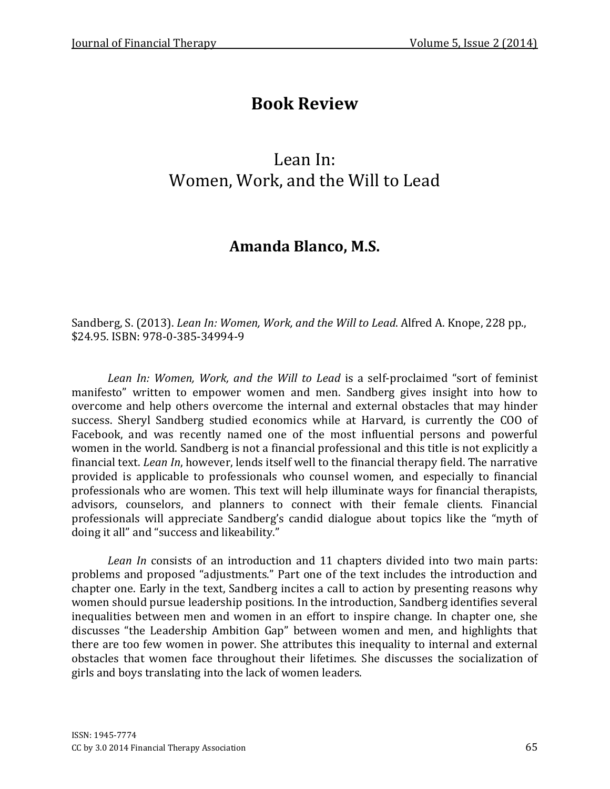# Book Review

# Lean In: Women, Work, and the Will to Lead

## Amanda Blanco, M.S.

Sandberg, S. (2013). Lean In: Women, Work, and the Will to Lead. Alfred A. Knope, 228 pp., \$24.95. ISBN: 978-0-385-34994-9

Lean In: Women, Work, and the Will to Lead is a self-proclaimed "sort of feminist manifesto" written to empower women and men. Sandberg gives insight into how to overcome and help others overcome the internal and external obstacles that may hinder success. Sheryl Sandberg studied economics while at Harvard, is currently the COO of Facebook, and was recently named one of the most influential persons and powerful women in the world. Sandberg is not a financial professional and this title is not explicitly a financial text. Lean In, however, lends itself well to the financial therapy field. The narrative provided is applicable to professionals who counsel women, and especially to financial professionals who are women. This text will help illuminate ways for financial therapists, advisors, counselors, and planners to connect with their female clients. Financial professionals will appreciate Sandberg's candid dialogue about topics like the "myth of doing it all" and "success and likeability."

Lean In consists of an introduction and 11 chapters divided into two main parts: problems and proposed "adjustments." Part one of the text includes the introduction and chapter one. Early in the text, Sandberg incites a call to action by presenting reasons why women should pursue leadership positions. In the introduction, Sandberg identifies several inequalities between men and women in an effort to inspire change. In chapter one, she discusses "the Leadership Ambition Gap" between women and men, and highlights that there are too few women in power. She attributes this inequality to internal and external obstacles that women face throughout their lifetimes. She discusses the socialization of girls and boys translating into the lack of women leaders.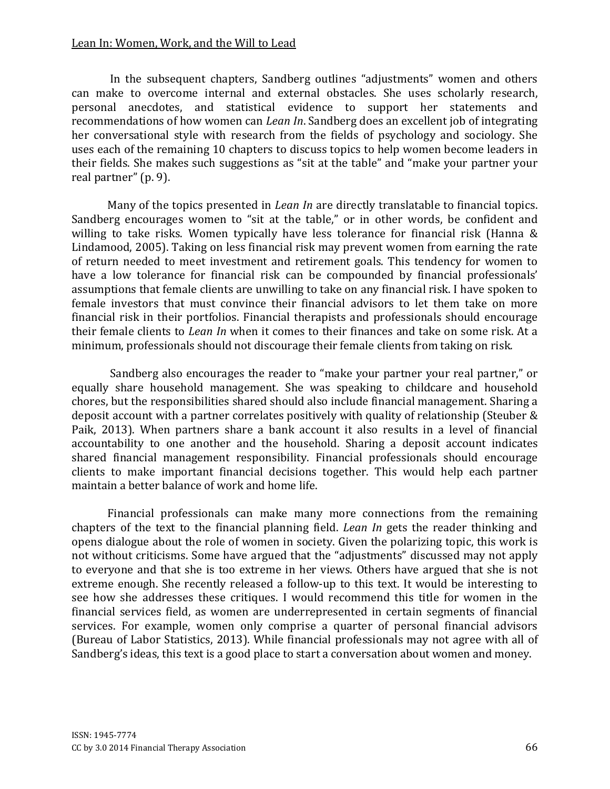#### Lean In: Women, Work, and the Will to Lead

 In the subsequent chapters, Sandberg outlines "adjustments" women and others can make to overcome internal and external obstacles. She uses scholarly research, personal anecdotes, and statistical evidence to support her statements and recommendations of how women can Lean In. Sandberg does an excellent job of integrating her conversational style with research from the fields of psychology and sociology. She uses each of the remaining 10 chapters to discuss topics to help women become leaders in their fields. She makes such suggestions as "sit at the table" and "make your partner your real partner" (p. 9).

Many of the topics presented in Lean In are directly translatable to financial topics. Sandberg encourages women to "sit at the table," or in other words, be confident and willing to take risks. Women typically have less tolerance for financial risk (Hanna & Lindamood, 2005). Taking on less financial risk may prevent women from earning the rate of return needed to meet investment and retirement goals. This tendency for women to have a low tolerance for financial risk can be compounded by financial professionals' assumptions that female clients are unwilling to take on any financial risk. I have spoken to female investors that must convince their financial advisors to let them take on more financial risk in their portfolios. Financial therapists and professionals should encourage their female clients to Lean In when it comes to their finances and take on some risk. At a minimum, professionals should not discourage their female clients from taking on risk.

 Sandberg also encourages the reader to "make your partner your real partner," or equally share household management. She was speaking to childcare and household chores, but the responsibilities shared should also include financial management. Sharing a deposit account with a partner correlates positively with quality of relationship (Steuber & Paik, 2013). When partners share a bank account it also results in a level of financial accountability to one another and the household. Sharing a deposit account indicates shared financial management responsibility. Financial professionals should encourage clients to make important financial decisions together. This would help each partner maintain a better balance of work and home life.

Financial professionals can make many more connections from the remaining chapters of the text to the financial planning field. Lean In gets the reader thinking and opens dialogue about the role of women in society. Given the polarizing topic, this work is not without criticisms. Some have argued that the "adjustments" discussed may not apply to everyone and that she is too extreme in her views. Others have argued that she is not extreme enough. She recently released a follow-up to this text. It would be interesting to see how she addresses these critiques. I would recommend this title for women in the financial services field, as women are underrepresented in certain segments of financial services. For example, women only comprise a quarter of personal financial advisors (Bureau of Labor Statistics, 2013). While financial professionals may not agree with all of Sandberg's ideas, this text is a good place to start a conversation about women and money.